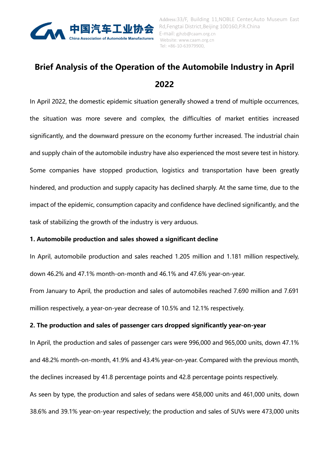

# **Brief Analysis of the Operation of the Automobile Industry in April 2022**

In April 2022, the domestic epidemic situation generally showed a trend of multiple occurrences, the situation was more severe and complex, the difficulties of market entities increased significantly, and the downward pressure on the economy further increased. The industrial chain and supply chain of the automobile industry have also experienced the most severe test in history. Some companies have stopped production, logistics and transportation have been greatly hindered, and production and supply capacity has declined sharply. At the same time, due to the impact of the epidemic, consumption capacity and confidence have declined significantly, and the task of stabilizing the growth of the industry is very arduous.

# **1. Automobile production and sales showed a significant decline**

In April, automobile production and sales reached 1.205 million and 1.181 million respectively, down 46.2% and 47.1% month-on-month and 46.1% and 47.6% year-on-year.

From January to April, the production and sales of automobiles reached 7.690 million and 7.691 million respectively, a year-on-year decrease of 10.5% and 12.1% respectively.

# **2. The production and sales of passenger cars dropped significantly year-on-year**

In April, the production and sales of passenger cars were 996,000 and 965,000 units, down 47.1% and 48.2% month-on-month, 41.9% and 43.4% year-on-year. Compared with the previous month, the declines increased by 41.8 percentage points and 42.8 percentage points respectively. As seen by type, the production and sales of sedans were 458,000 units and 461,000 units, down 38.6% and 39.1% year-on-year respectively; the production and sales of SUVs were 473,000 units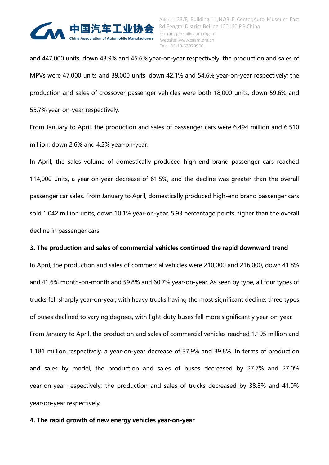

and 447,000 units, down 43.9% and 45.6% year-on-year respectively; the production and sales of MPVs were 47,000 units and 39,000 units, down 42.1% and 54.6% year-on-year respectively; the production and sales of crossover passenger vehicles were both 18,000 units, down 59.6% and 55.7% year-on-year respectively.

From January to April, the production and sales of passenger cars were 6.494 million and 6.510 million, down 2.6% and 4.2% year-on-year.

In April, the sales volume of domestically produced high-end brand passenger cars reached 114,000 units, a year-on-year decrease of 61.5%, and the decline was greater than the overall passenger car sales. From January to April, domestically produced high-end brand passenger cars sold 1.042 million units, down 10.1% year-on-year, 5.93 percentage points higher than the overall decline in passenger cars.

### **3. The production and sales of commercial vehicles continued the rapid downward trend**

In April, the production and sales of commercial vehicles were 210,000 and 216,000, down 41.8% and 41.6% month-on-month and 59.8% and 60.7% year-on-year. As seen by type, all four types of trucks fell sharply year-on-year, with heavy trucks having the most significant decline; three types of buses declined to varying degrees, with light-duty buses fell more significantly year-on-year.

From January to April, the production and sales of commercial vehicles reached 1.195 million and 1.181 million respectively, a year-on-year decrease of 37.9% and 39.8%. In terms of production and sales by model, the production and sales of buses decreased by 27.7% and 27.0% year-on-year respectively; the production and sales of trucks decreased by 38.8% and 41.0% year-on-year respectively.

### **4. The rapid growth of new energy vehicles year-on-year**